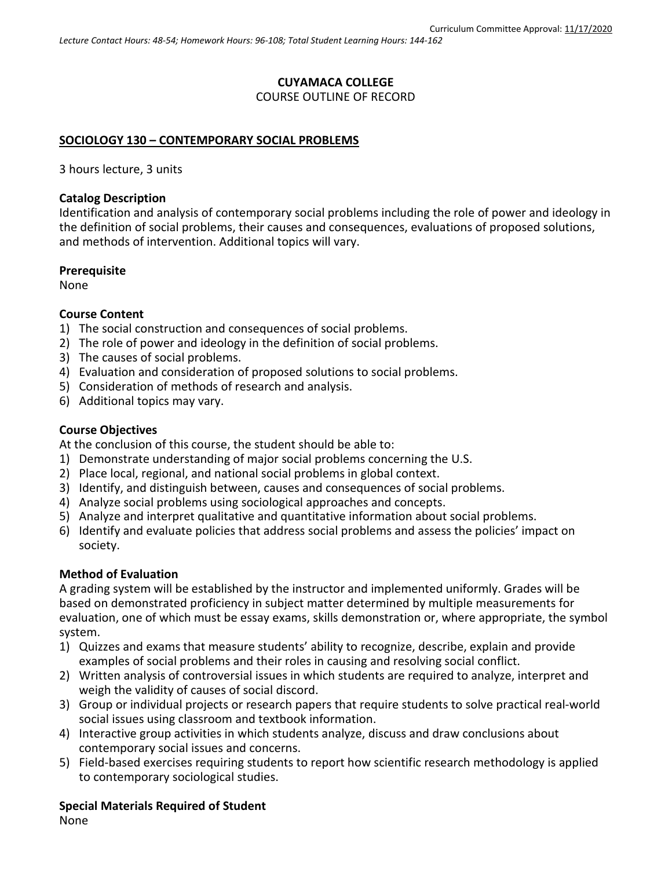# **CUYAMACA COLLEGE** COURSE OUTLINE OF RECORD

### **SOCIOLOGY 130 – CONTEMPORARY SOCIAL PROBLEMS**

3 hours lecture, 3 units

#### **Catalog Description**

Identification and analysis of contemporary social problems including the role of power and ideology in the definition of social problems, their causes and consequences, evaluations of proposed solutions, and methods of intervention. Additional topics will vary.

#### **Prerequisite**

None

### **Course Content**

- 1) The social construction and consequences of social problems.
- 2) The role of power and ideology in the definition of social problems.
- 3) The causes of social problems.
- 4) Evaluation and consideration of proposed solutions to social problems.
- 5) Consideration of methods of research and analysis.
- 6) Additional topics may vary.

### **Course Objectives**

At the conclusion of this course, the student should be able to:

- 1) Demonstrate understanding of major social problems concerning the U.S.
- 2) Place local, regional, and national social problems in global context.
- 3) Identify, and distinguish between, causes and consequences of social problems.
- 4) Analyze social problems using sociological approaches and concepts.
- 5) Analyze and interpret qualitative and quantitative information about social problems.
- 6) Identify and evaluate policies that address social problems and assess the policies' impact on society.

## **Method of Evaluation**

A grading system will be established by the instructor and implemented uniformly. Grades will be based on demonstrated proficiency in subject matter determined by multiple measurements for evaluation, one of which must be essay exams, skills demonstration or, where appropriate, the symbol system.

- 1) Quizzes and exams that measure students' ability to recognize, describe, explain and provide examples of social problems and their roles in causing and resolving social conflict.
- 2) Written analysis of controversial issues in which students are required to analyze, interpret and weigh the validity of causes of social discord.
- 3) Group or individual projects or research papers that require students to solve practical real-world social issues using classroom and textbook information.
- 4) Interactive group activities in which students analyze, discuss and draw conclusions about contemporary social issues and concerns.
- 5) Field-based exercises requiring students to report how scientific research methodology is applied to contemporary sociological studies.

## **Special Materials Required of Student**

None